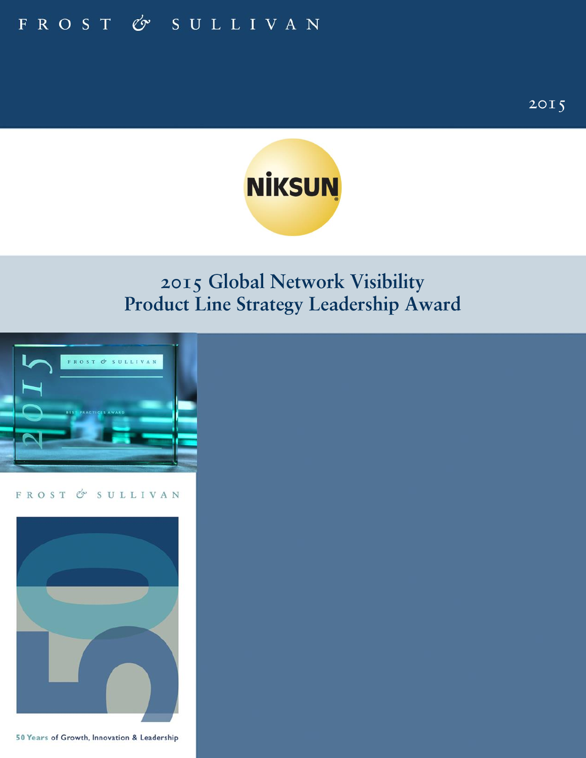

# 2015 Global Network Visibility Product Line Strategy Leadership Award



FROST & SULLIVAN



50 Years of Growth, Innovation & Leadership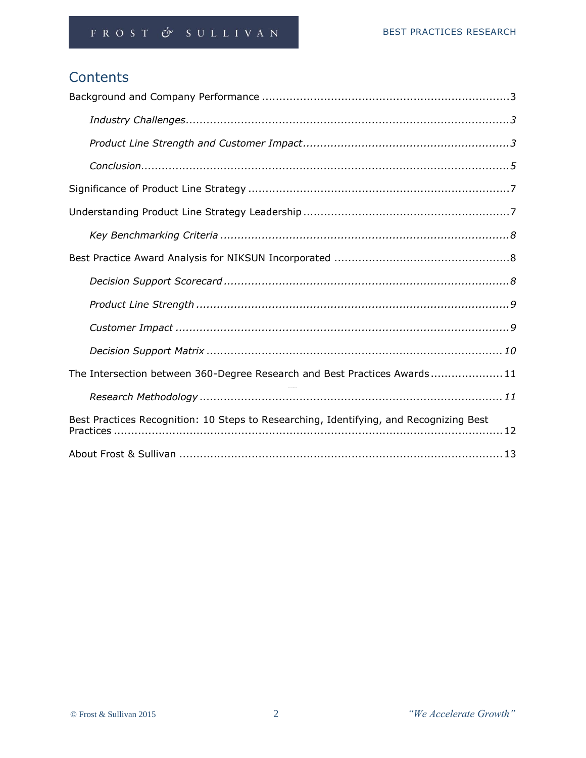# **Contents**

| The Intersection between 360-Degree Research and Best Practices Awards11               |  |  |  |  |  |  |
|----------------------------------------------------------------------------------------|--|--|--|--|--|--|
|                                                                                        |  |  |  |  |  |  |
| Best Practices Recognition: 10 Steps to Researching, Identifying, and Recognizing Best |  |  |  |  |  |  |
|                                                                                        |  |  |  |  |  |  |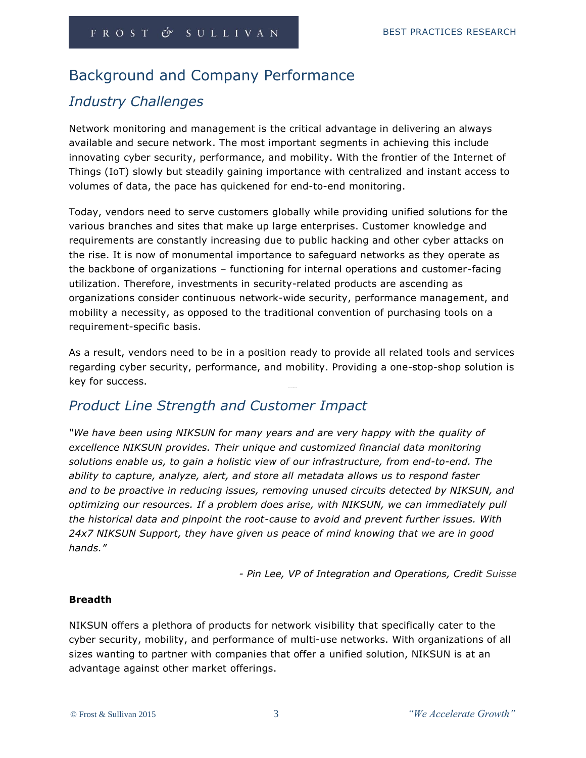## Background and Company Performance

## *Industry Challenges*

Network monitoring and management is the critical advantage in delivering an always available and secure network. The most important segments in achieving this include innovating cyber security, performance, and mobility. With the frontier of the Internet of Things (IoT) slowly but steadily gaining importance with centralized and instant access to volumes of data, the pace has quickened for end-to-end monitoring.

Today, vendors need to serve customers globally while providing unified solutions for the various branches and sites that make up large enterprises. Customer knowledge and requirements are constantly increasing due to public hacking and other cyber attacks on the rise. It is now of monumental importance to safeguard networks as they operate as the backbone of organizations – functioning for internal operations and customer-facing utilization. Therefore, investments in security-related products are ascending as organizations consider continuous network-wide security, performance management, and mobility a necessity, as opposed to the traditional convention of purchasing tools on a requirement-specific basis.

As a result, vendors need to be in a position ready to provide all related tools and services regarding cyber security, performance, and mobility. Providing a one-stop-shop solution is key for success.

## *Product Line Strength and Customer Impact*

*"We have been using NIKSUN for many years and are very happy with the quality of excellence NIKSUN provides. Their unique and customized financial data monitoring solutions enable us, to gain a holistic view of our infrastructure, from end-to-end. The ability to capture, analyze, alert, and store all metadata allows us to respond faster and to be proactive in reducing issues, removing unused circuits detected by NIKSUN, and optimizing our resources. If a problem does arise, with NIKSUN, we can immediately pull the historical data and pinpoint the root-cause to avoid and prevent further issues. With 24x7 NIKSUN Support, they have given us peace of mind knowing that we are in good hands."* 

*- Pin Lee, VP of Integration and Operations, Credit Suisse*

## **Breadth**

NIKSUN offers a plethora of products for network visibility that specifically cater to the cyber security, mobility, and performance of multi-use networks. With organizations of all sizes wanting to partner with companies that offer a unified solution, NIKSUN is at an advantage against other market offerings.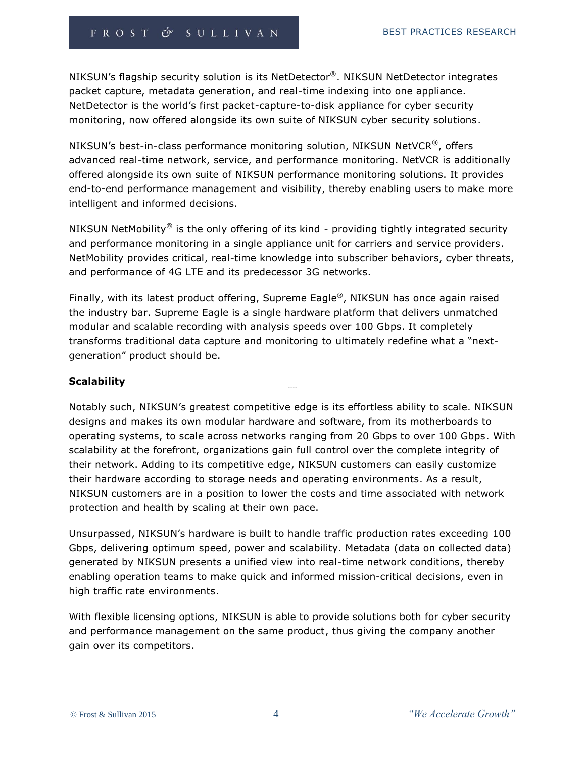NIKSUN's flagship security solution is its NetDetector®. NIKSUN NetDetector integrates packet capture, metadata generation, and real-time indexing into one appliance. NetDetector is the world's first packet-capture-to-disk appliance for cyber security monitoring, now offered alongside its own suite of NIKSUN cyber security solutions.

NIKSUN's best-in-class performance monitoring solution, NIKSUN NetVCR<sup>®</sup>, offers advanced real-time network, service, and performance monitoring. NetVCR is additionally offered alongside its own suite of NIKSUN performance monitoring solutions. It provides end-to-end performance management and visibility, thereby enabling users to make more intelligent and informed decisions.

NIKSUN NetMobility<sup>®</sup> is the only offering of its kind - providing tightly integrated security and performance monitoring in a single appliance unit for carriers and service providers. NetMobility provides critical, real-time knowledge into subscriber behaviors, cyber threats, and performance of 4G LTE and its predecessor 3G networks.

Finally, with its latest product offering, Supreme Eagle®, NIKSUN has once again raised the industry bar. Supreme Eagle is a single hardware platform that delivers unmatched modular and scalable recording with analysis speeds over 100 Gbps. It completely transforms traditional data capture and monitoring to ultimately redefine what a "nextgeneration" product should be.

## **Scalability**

Notably such, NIKSUN's greatest competitive edge is its effortless ability to scale. NIKSUN designs and makes its own modular hardware and software, from its motherboards to operating systems, to scale across networks ranging from 20 Gbps to over 100 Gbps. With scalability at the forefront, organizations gain full control over the complete integrity of their network. Adding to its competitive edge, NIKSUN customers can easily customize their hardware according to storage needs and operating environments. As a result, NIKSUN customers are in a position to lower the costs and time associated with network protection and health by scaling at their own pace.

Unsurpassed, NIKSUN's hardware is built to handle traffic production rates exceeding 100 Gbps, delivering optimum speed, power and scalability. Metadata (data on collected data) generated by NIKSUN presents a unified view into real-time network conditions, thereby enabling operation teams to make quick and informed mission-critical decisions, even in high traffic rate environments.

With flexible licensing options, NIKSUN is able to provide solutions both for cyber security and performance management on the same product, thus giving the company another gain over its competitors.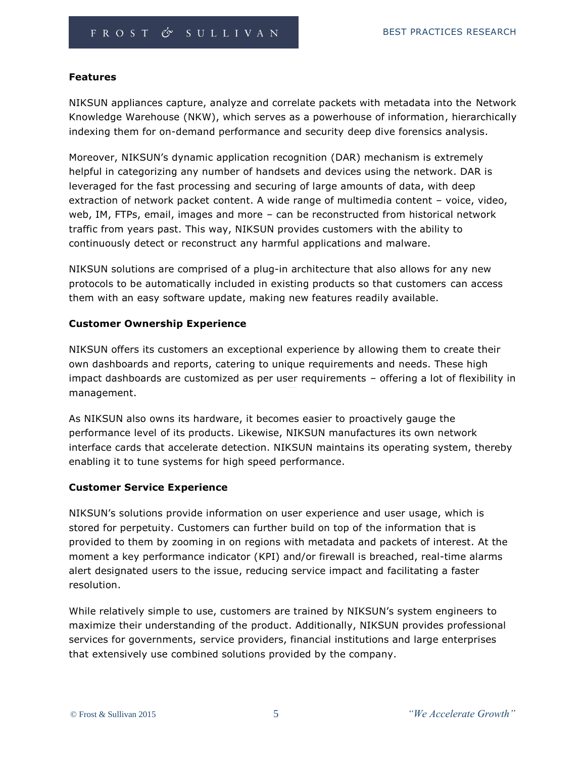#### **Features**

NIKSUN appliances capture, analyze and correlate packets with metadata into the Network Knowledge Warehouse (NKW), which serves as a powerhouse of information, hierarchically indexing them for on-demand performance and security deep dive forensics analysis.

Moreover, NIKSUN's dynamic application recognition (DAR) mechanism is extremely helpful in categorizing any number of handsets and devices using the network. DAR is leveraged for the fast processing and securing of large amounts of data, with deep extraction of network packet content. A wide range of multimedia content – voice, video, web, IM, FTPs, email, images and more – can be reconstructed from historical network traffic from years past. This way, NIKSUN provides customers with the ability to continuously detect or reconstruct any harmful applications and malware.

NIKSUN solutions are comprised of a plug-in architecture that also allows for any new protocols to be automatically included in existing products so that customers can access them with an easy software update, making new features readily available.

#### **Customer Ownership Experience**

NIKSUN offers its customers an exceptional experience by allowing them to create their own dashboards and reports, catering to unique requirements and needs. These high impact dashboards are customized as per user requirements – offering a lot of flexibility in management.

As NIKSUN also owns its hardware, it becomes easier to proactively gauge the performance level of its products. Likewise, NIKSUN manufactures its own network interface cards that accelerate detection. NIKSUN maintains its operating system, thereby enabling it to tune systems for high speed performance.

#### **Customer Service Experience**

NIKSUN's solutions provide information on user experience and user usage, which is stored for perpetuity. Customers can further build on top of the information that is provided to them by zooming in on regions with metadata and packets of interest. At the moment a key performance indicator (KPI) and/or firewall is breached, real-time alarms alert designated users to the issue, reducing service impact and facilitating a faster resolution.

While relatively simple to use, customers are trained by NIKSUN's system engineers to maximize their understanding of the product. Additionally, NIKSUN provides professional services for governments, service providers, financial institutions and large enterprises that extensively use combined solutions provided by the company.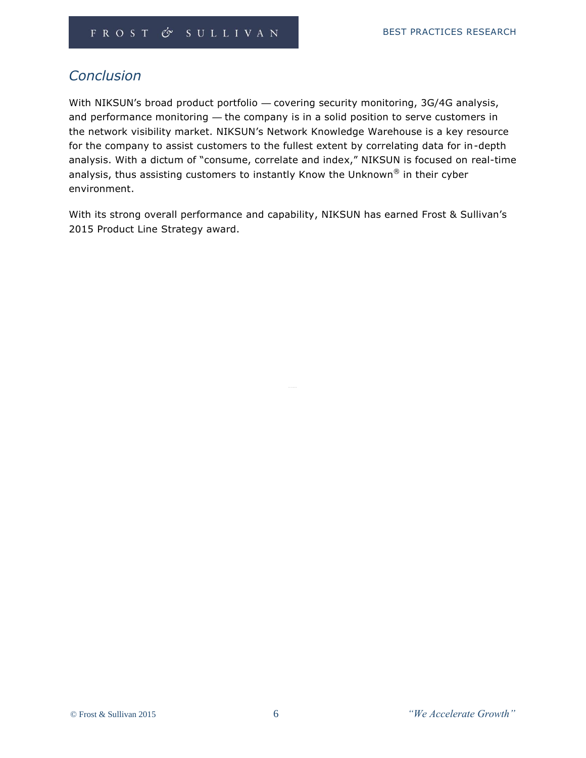## *Conclusion*

With NIKSUN's broad product portfolio — covering security monitoring, 3G/4G analysis, and performance monitoring — the company is in a solid position to serve customers in the network visibility market. NIKSUN's Network Knowledge Warehouse is a key resource for the company to assist customers to the fullest extent by correlating data for in-depth analysis. With a dictum of "consume, correlate and index," NIKSUN is focused on real-time analysis, thus assisting customers to instantly Know the Unknown $^{\circledR}$  in their cyber environment.

With its strong overall performance and capability, NIKSUN has earned Frost & Sullivan's 2015 Product Line Strategy award.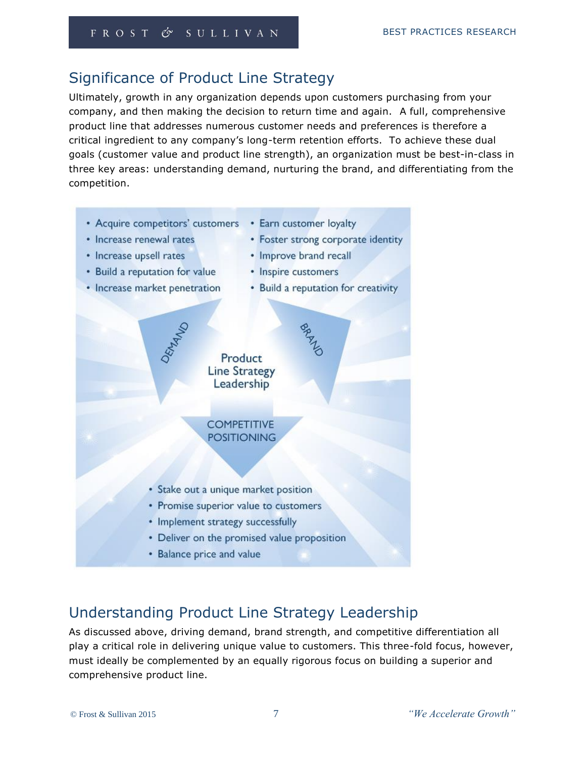# Significance of Product Line Strategy

Ultimately, growth in any organization depends upon customers purchasing from your company, and then making the decision to return time and again. A full, comprehensive product line that addresses numerous customer needs and preferences is therefore a critical ingredient to any company's long-term retention efforts. To achieve these dual goals (customer value and product line strength), an organization must be best-in-class in three key areas: understanding demand, nurturing the brand, and differentiating from the competition.

- Acquire competitors' customers Earn customer loyalty
	-
- Increase renewal rates
- Increase upsell rates
- Build a reputation for value
- Increase market penetration
- Improve brand recall
- Inspire customers
- Build a reputation for creativity

• Foster strong corporate identity

# Leadership **COMPETITIVE POSITIONING**

Product **Line Strategy** 

- · Stake out a unique market position
- Promise superior value to customers
- Implement strategy successfully
- Deliver on the promised value proposition
- Balance price and value

# Understanding Product Line Strategy Leadership

As discussed above, driving demand, brand strength, and competitive differentiation all play a critical role in delivering unique value to customers. This three-fold focus, however, must ideally be complemented by an equally rigorous focus on building a superior and comprehensive product line.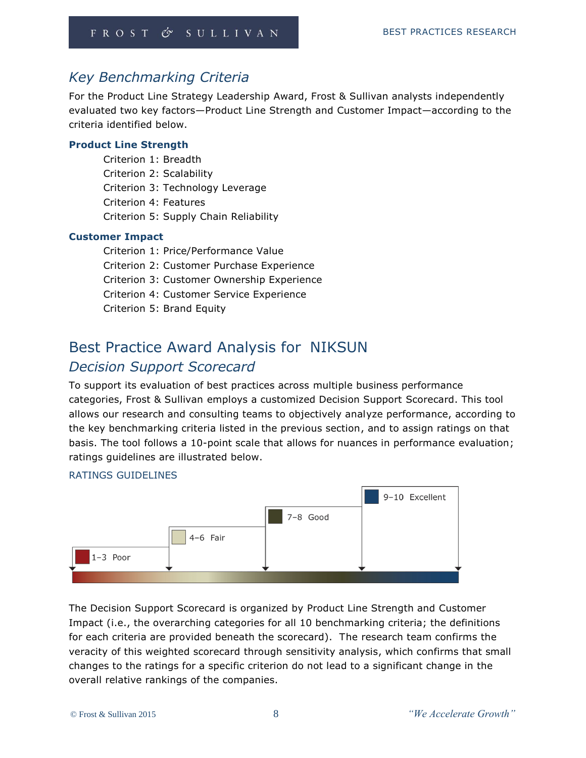## *Key Benchmarking Criteria*

For the Product Line Strategy Leadership Award, Frost & Sullivan analysts independently evaluated two key factors—Product Line Strength and Customer Impact—according to the criteria identified below.

## **Product Line Strength**

Criterion 1: Breadth Criterion 2: Scalability Criterion 3: Technology Leverage Criterion 4: Features Criterion 5: Supply Chain Reliability

#### **Customer Impact**

Criterion 1: Price/Performance Value Criterion 2: Customer Purchase Experience Criterion 3: Customer Ownership Experience Criterion 4: Customer Service Experience Criterion 5: Brand Equity

# Best Practice Award Analysis for NIKSUN *Decision Support Scorecard*

To support its evaluation of best practices across multiple business performance categories, Frost & Sullivan employs a customized Decision Support Scorecard. This tool allows our research and consulting teams to objectively analyze performance, according to the key benchmarking criteria listed in the previous section, and to assign ratings on that basis. The tool follows a 10-point scale that allows for nuances in performance evaluation; ratings guidelines are illustrated below.

### RATINGS GUIDELINES



The Decision Support Scorecard is organized by Product Line Strength and Customer Impact (i.e., the overarching categories for all 10 benchmarking criteria; the definitions for each criteria are provided beneath the scorecard). The research team confirms the veracity of this weighted scorecard through sensitivity analysis, which confirms that small changes to the ratings for a specific criterion do not lead to a significant change in the overall relative rankings of the companies.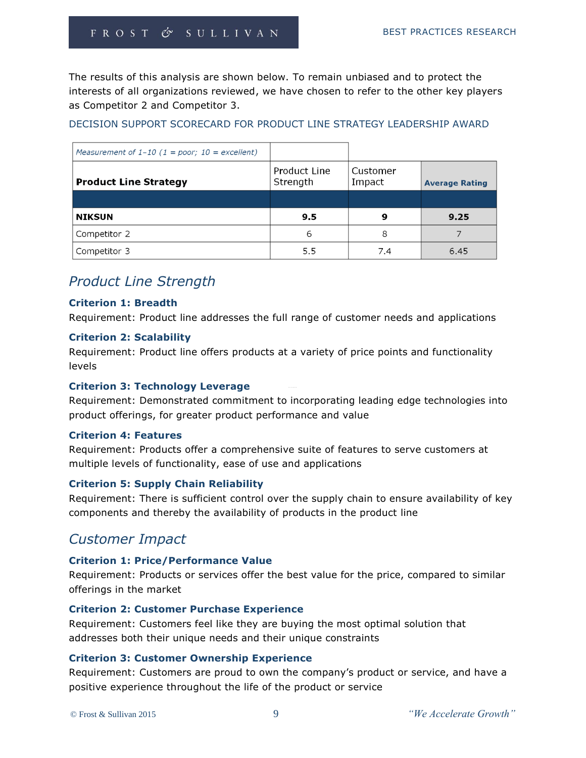The results of this analysis are shown below. To remain unbiased and to protect the interests of all organizations reviewed, we have chosen to refer to the other key players as Competitor 2 and Competitor 3.

DECISION SUPPORT SCORECARD FOR PRODUCT LINE STRATEGY LEADERSHIP AWARD

| Measurement of $1-10$ (1 = poor; 10 = excellent) |                          |                    |                       |
|--------------------------------------------------|--------------------------|--------------------|-----------------------|
| <b>Product Line Strategy</b>                     | Product Line<br>Strength | Customer<br>Impact | <b>Average Rating</b> |
|                                                  |                          |                    |                       |
| <b>NIKSUN</b>                                    | 9.5                      | 9                  | 9.25                  |
| Competitor 2                                     | 6                        | 8                  |                       |
| Competitor 3                                     | 5.5                      | 7.4                | 6.45                  |

## *Product Line Strength*

#### **Criterion 1: Breadth**

Requirement: Product line addresses the full range of customer needs and applications

#### **Criterion 2: Scalability**

Requirement: Product line offers products at a variety of price points and functionality levels

## **Criterion 3: Technology Leverage**

Requirement: Demonstrated commitment to incorporating leading edge technologies into product offerings, for greater product performance and value

#### **Criterion 4: Features**

Requirement: Products offer a comprehensive suite of features to serve customers at multiple levels of functionality, ease of use and applications

## **Criterion 5: Supply Chain Reliability**

Requirement: There is sufficient control over the supply chain to ensure availability of key components and thereby the availability of products in the product line

## *Customer Impact*

## **Criterion 1: Price/Performance Value**

Requirement: Products or services offer the best value for the price, compared to similar offerings in the market

#### **Criterion 2: Customer Purchase Experience**

Requirement: Customers feel like they are buying the most optimal solution that addresses both their unique needs and their unique constraints

## **Criterion 3: Customer Ownership Experience**

Requirement: Customers are proud to own the company's product or service, and have a positive experience throughout the life of the product or service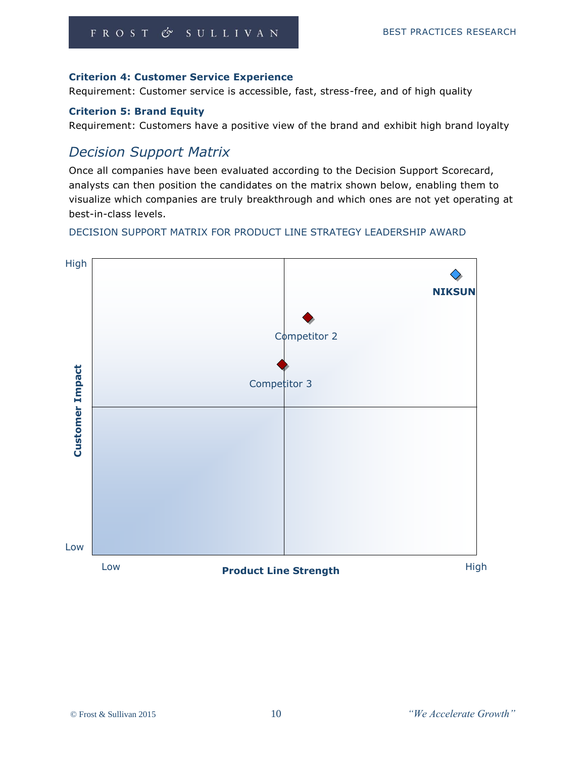## **Criterion 4: Customer Service Experience**

Requirement: Customer service is accessible, fast, stress-free, and of high quality

## **Criterion 5: Brand Equity**

Requirement: Customers have a positive view of the brand and exhibit high brand loyalty

## *Decision Support Matrix*

Once all companies have been evaluated according to the Decision Support Scorecard, analysts can then position the candidates on the matrix shown below, enabling them to visualize which companies are truly breakthrough and which ones are not yet operating at best-in-class levels.

DECISION SUPPORT MATRIX FOR PRODUCT LINE STRATEGY LEADERSHIP AWARD

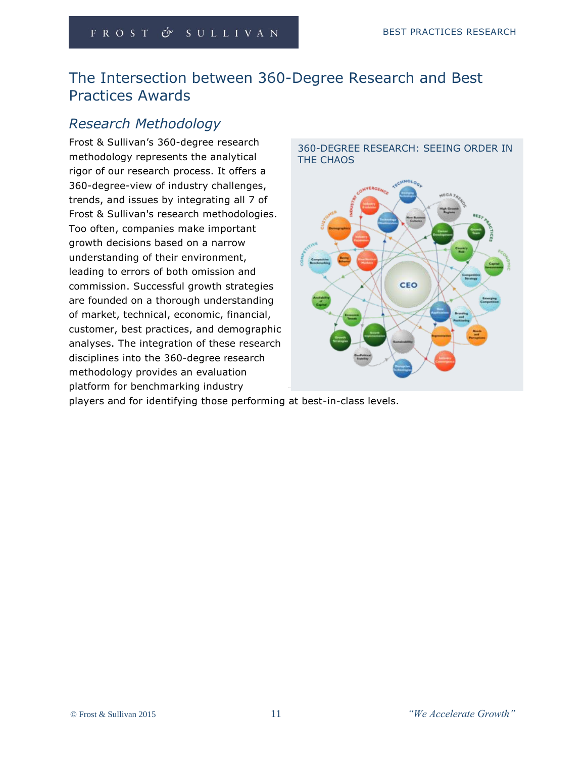# The Intersection between 360-Degree Research and Best Practices Awards

# *Research Methodology*

Frost & Sullivan's 360-degree research methodology represents the analytical rigor of our research process. It offers a 360-degree-view of industry challenges, trends, and issues by integrating all 7 of Frost & Sullivan's research methodologies. Too often, companies make important growth decisions based on a narrow understanding of their environment, leading to errors of both omission and commission. Successful growth strategies are founded on a thorough understanding of market, technical, economic, financial, customer, best practices, and demographic analyses. The integration of these research disciplines into the 360-degree research methodology provides an evaluation platform for benchmarking industry



players and for identifying those performing at best-in-class levels.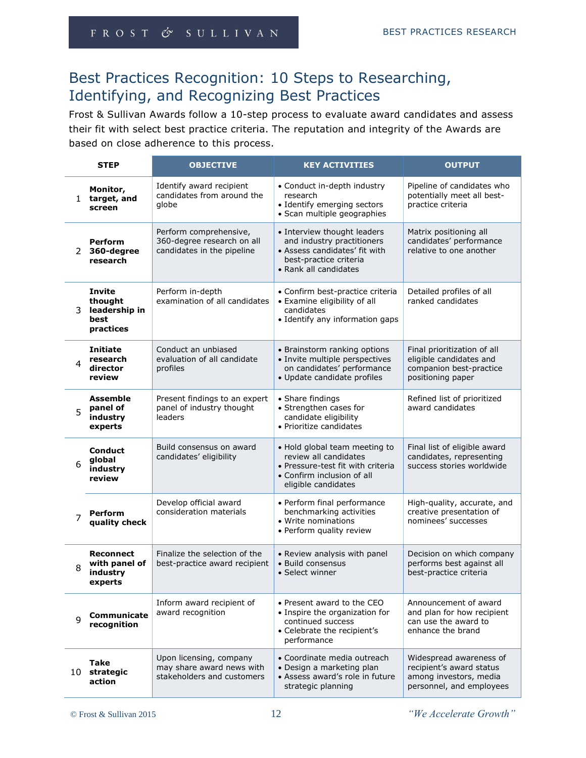# Best Practices Recognition: 10 Steps to Researching, Identifying, and Recognizing Best Practices

Frost & Sullivan Awards follow a 10-step process to evaluate award candidates and assess their fit with select best practice criteria. The reputation and integrity of the Awards are based on close adherence to this process.

|                | <b>STEP</b>                                                    | <b>OBJECTIVE</b>                                                                   | <b>KEY ACTIVITIES</b>                                                                                                                            | <b>OUTPUT</b>                                                                                             |
|----------------|----------------------------------------------------------------|------------------------------------------------------------------------------------|--------------------------------------------------------------------------------------------------------------------------------------------------|-----------------------------------------------------------------------------------------------------------|
|                | Monitor,<br>1 target, and<br>screen                            | Identify award recipient<br>candidates from around the<br>globe                    | • Conduct in-depth industry<br>research<br>• Identify emerging sectors<br>· Scan multiple geographies                                            | Pipeline of candidates who<br>potentially meet all best-<br>practice criteria                             |
| 2              | <b>Perform</b><br>360-degree<br>research                       | Perform comprehensive,<br>360-degree research on all<br>candidates in the pipeline | • Interview thought leaders<br>and industry practitioners<br>• Assess candidates' fit with<br>best-practice criteria<br>• Rank all candidates    | Matrix positioning all<br>candidates' performance<br>relative to one another                              |
| 3              | <b>Invite</b><br>thought<br>leadership in<br>best<br>practices | Perform in-depth<br>examination of all candidates                                  | • Confirm best-practice criteria<br>• Examine eligibility of all<br>candidates<br>• Identify any information gaps                                | Detailed profiles of all<br>ranked candidates                                                             |
| 4              | <b>Initiate</b><br>research<br>director<br>review              | Conduct an unbiased<br>evaluation of all candidate<br>profiles                     | • Brainstorm ranking options<br>· Invite multiple perspectives<br>on candidates' performance<br>· Update candidate profiles                      | Final prioritization of all<br>eligible candidates and<br>companion best-practice<br>positioning paper    |
| 5              | <b>Assemble</b><br>panel of<br>industry<br>experts             | Present findings to an expert<br>panel of industry thought<br>leaders              | • Share findings<br>• Strengthen cases for<br>candidate eligibility<br>• Prioritize candidates                                                   | Refined list of prioritized<br>award candidates                                                           |
| 6              | <b>Conduct</b><br>global<br>industry<br>review                 | Build consensus on award<br>candidates' eligibility                                | • Hold global team meeting to<br>review all candidates<br>• Pressure-test fit with criteria<br>• Confirm inclusion of all<br>eligible candidates | Final list of eligible award<br>candidates, representing<br>success stories worldwide                     |
| $\overline{7}$ | <b>Perform</b><br>quality check                                | Develop official award<br>consideration materials                                  | • Perform final performance<br>benchmarking activities<br>• Write nominations<br>• Perform quality review                                        | High-quality, accurate, and<br>creative presentation of<br>nominees' successes                            |
| 8              | <b>Reconnect</b><br>with panel of<br>industry<br>experts       | Finalize the selection of the<br>best-practice award recipient                     | • Review analysis with panel<br>• Build consensus<br>• Select winner                                                                             | Decision on which company<br>performs best against all<br>best-practice criteria                          |
| 9              | Communicate<br>recognition                                     | Inform award recipient of<br>award recognition                                     | • Present award to the CEO<br>• Inspire the organization for<br>continued success<br>• Celebrate the recipient's<br>performance                  | Announcement of award<br>and plan for how recipient<br>can use the award to<br>enhance the brand          |
| 10             | <b>Take</b><br>strategic<br>action                             | Upon licensing, company<br>may share award news with<br>stakeholders and customers | • Coordinate media outreach<br>• Design a marketing plan<br>• Assess award's role in future<br>strategic planning                                | Widespread awareness of<br>recipient's award status<br>among investors, media<br>personnel, and employees |